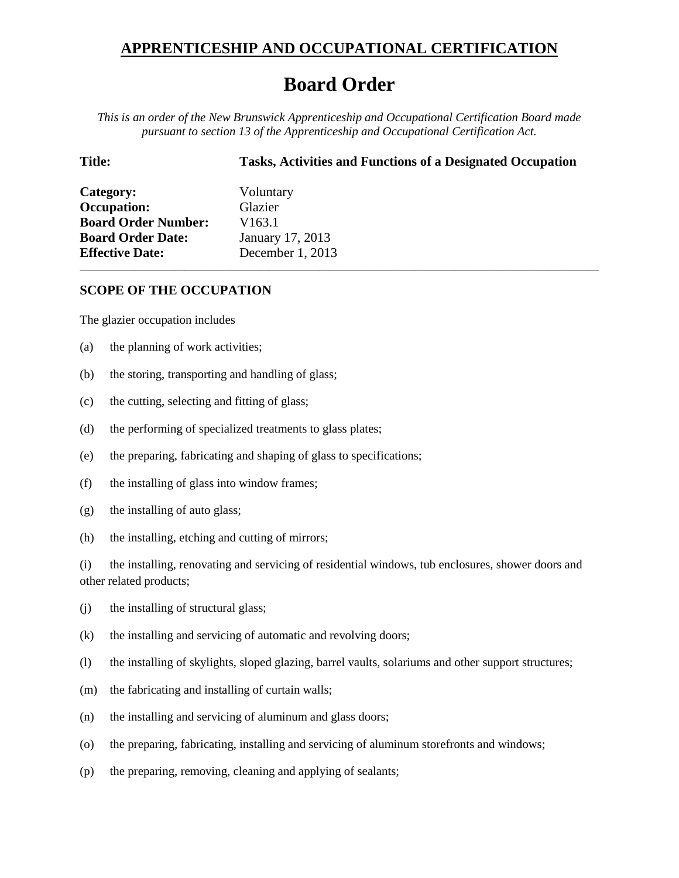## **APPRENTICESHIP AND OCCUPATIONAL CERTIFICATION**

## **Board Order**

*This is an order of the New Brunswick Apprenticeship and Occupational Certification Board made pursuant to section 13 of the Apprenticeship and Occupational Certification Act.*

\_\_\_\_\_\_\_\_\_\_\_\_\_\_\_\_\_\_\_\_\_\_\_\_\_\_\_\_\_\_\_\_\_\_\_\_\_\_\_\_\_\_\_\_\_\_\_\_\_\_\_\_\_\_\_\_\_\_\_\_\_\_\_\_\_\_\_\_\_\_\_\_\_\_\_\_\_\_\_\_\_\_\_\_\_\_\_\_\_\_\_\_\_\_\_\_\_\_\_\_\_\_\_\_

**Title: Tasks, Activities and Functions of a Designated Occupation**

| Category:                  | Voluntary          |
|----------------------------|--------------------|
| <b>Occupation:</b>         | Glazier            |
| <b>Board Order Number:</b> | V <sub>163.1</sub> |
| <b>Board Order Date:</b>   | January 17, 2013   |
| <b>Effective Date:</b>     | December 1, 2013   |

## **SCOPE OF THE OCCUPATION**

The glazier occupation includes

- (a) the planning of work activities;
- (b) the storing, transporting and handling of glass;
- (c) the cutting, selecting and fitting of glass;
- (d) the performing of specialized treatments to glass plates;
- (e) the preparing, fabricating and shaping of glass to specifications;
- (f) the installing of glass into window frames;
- (g) the installing of auto glass;
- (h) the installing, etching and cutting of mirrors;

(i) the installing, renovating and servicing of residential windows, tub enclosures, shower doors and other related products;

- (j) the installing of structural glass;
- (k) the installing and servicing of automatic and revolving doors;
- (l) the installing of skylights, sloped glazing, barrel vaults, solariums and other support structures;
- (m) the fabricating and installing of curtain walls;
- (n) the installing and servicing of aluminum and glass doors;
- (o) the preparing, fabricating, installing and servicing of aluminum storefronts and windows;
- (p) the preparing, removing, cleaning and applying of sealants;